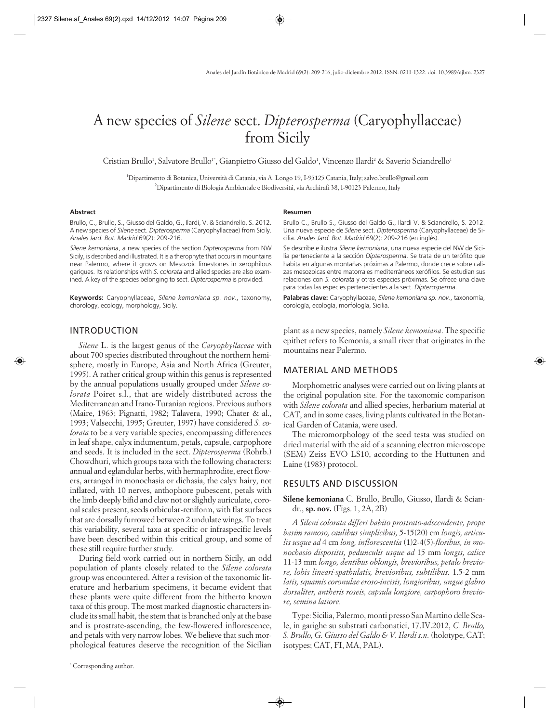# A new species of *Silene* sect. *Dipterosperma* (Caryophyllaceae) from Sicily

Cristian Brullo', Salvatore Brullo'<sup>\*</sup>, Gianpietro Giusso del Galdo', Vincenzo Ilardi<sup>2</sup> & Saverio Sciandrello'

1 Dipartimento di Botanica, Università di Catania, via A. Longo 19, I-95125 Catania, Italy; salvo.brullo@gmail.com 2 Dipartimento di Biologia Ambientale e Biodiversitá, via Archirafi 38, I-90123 Palermo, Italy

#### **Abstract**

Brullo, C., Brullo, S., Giusso del Galdo, G., Ilardi, V. & Sciandrello, S. 2012. A new species of *Silene* sect. *Dipterosperma* (Caryophyllaceae) from Sicily. *Anales Jard. Bot. Madrid* 69(2): 209-216.

*Silene kemoniana*, a new species of the section *Dipterosperma* from NW Sicily, is described and illustrated. It is a therophyte that occurs in mountains near Palermo, where it grows on Mesozoic limestones in xerophilous garigues. Its relationships with *S. colorata* and allied species are also examined. A key of the species belonging to sect. *Dipterosperma* is provided.

**Keywords:** Caryophyllaceae, *Silene kemoniana sp. nov.*, taxonomy, chorology, ecology, morphology, Sicily.

# INTRODUCTION

*Silene* L. is the largest genus of the *Caryophyllaceae* with about 700 species distributed throughout the northern hemisphere, mostly in Europe, Asia and North Africa (Greuter, 1995). A rather critical group within this genus is represented by the annual populations usually grouped under *Silene colorata* Poiret s.l., that are widely distributed across the Mediterranean and Irano-Turanian regions. Previous authors (Maire, 1963; Pignatti, 1982; Talavera, 1990; Chater & al., 1993; Valsecchi, 1995; Greuter, 1997) have considered *S. colorata* to be a very variable species, encompassing differences in leaf shape, calyx indumentum, petals, capsule, carpophore and seeds. It is included in the sect. *Dipterosperma* (Rohrb.) Chowdhuri, which groups taxa with the following characters: annual and eglandular herbs, with hermaphrodite, erect flowers, arranged in monochasia or dichasia, the calyx hairy, not inflated, with 10 nerves, anthophore pubescent, petals with the limb deeply bifid and claw not or slightly auriculate, coronal scales present, seeds orbicular-reniform, with flat surfaces that are dorsally furrowed between 2 undulate wings. To treat this variability, several taxa at specific or infraspecific levels have been described within this critical group, and some of these still require further study.

During field work carried out in northern Sicily, an odd population of plants closely related to the *Silene colorata* group was encountered. After a revision of the taxonomic literature and herbarium specimens, it became evident that these plants were quite different from the hitherto known taxa of this group. The most marked diagnostic characters include its small habit, the stem that is branched only at the base and is prostrate-ascending, the few-flowered inflorescence, and petals with very narrow lobes. We believe that such morphological features deserve the recognition of the Sicilian

#### **Resumen**

Brullo C., Brullo S., Giusso del Galdo G., Ilardi V. & Sciandrello, S. 2012. Una nueva especie de *Silene* sect. *Dipterosperma* (Caryophyllaceae) de Sicilia. *Anales Jard. Bot. Madrid* 69(2): 209-216 (en inglés).

Se describe e ilustra *Silene kemoniana*, una nueva especie del NW de Sicilia perteneciente a la sección *Dipterosperma*. Se trata de un terófito que habita en algunas montañas próximas a Palermo, donde crece sobre calizas mesozoicas entre matorrales mediterráneos xerófilos. Se estudian sus relaciones con *S. colorata* y otras especies próximas. Se ofrece una clave para todas las especies pertenecientes a la sect. *Dipterosperma*.

Palabras clave: Caryophyllaceae, Silene kemoniana sp. nov., taxonomía, corología, ecología, morfología, Sicilia.

plant as a new species, namely *Silene kemoniana*. The specific epithet refers to Kemonia, a small river that originates in the mountains near Palermo.

## MATERIAL AND METHODS

Morphometric analyses were carried out on living plants at the original population site. For the taxonomic comparison with *Silene colorata* and allied species, herbarium material at CAT, and in some cases, living plants cultivated in the Botanical Garden of Catania, were used.

The micromorphology of the seed testa was studied on dried material with the aid of a scanning electron microscope (SEM) Zeiss EVO LS10, according to the Huttunen and Laine (1983) protocol.

# RESULTS AND DISCUSSION

**Silene kemoniana** C. Brullo, Brullo, Giusso, Ilardi & Sciandr., **sp. nov.** (Figs. 1, 2A, 2B)

*A Sileni colorata differt habito prostrato-adscendente, prope basim ramoso, caulibus simplicibus,* 5-15(20) cm *longis, articulis usque ad* 4 cm *long, inflorescentia* (1)2-4(5)*-floribus, in monochasio dispositis, pedunculis usque ad* 15 mm *longis, calice* 11-13 mm *longo, dentibus oblongis, brevioribus, petalo breviore, lobis lineari-spathulatis, brevioribus, subtilibus.* 1.5-2 mm *latis, squamis coronulae eroso-incisis, longioribus, ungue glabro dorsaliter, antheris roseis, capsula longiore, carpophoro breviore, semina latiore.*

Type: Sicilia, Palermo, monti presso San Martino delle Scale, in garighe su substrati carbonatici, 17.IV.2012, *C. Brullo, S. Brullo, G. Giusso del Galdo & V. Ilardi s.n.* (holotype, CAT; isotypes; CAT, FI, MA, PAL).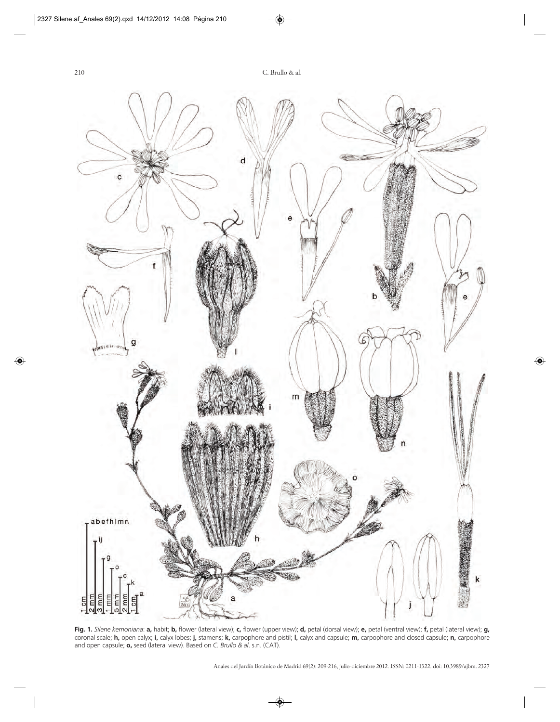

Fig. 1. Silene kemoniana: a, habit; b, flower (lateral view); c, flower (upper view); d, petal (dorsal view); e, petal (ventral view); f, petal (lateral view); g, coronal scale; **h,** open calyx; **i,** calyx lobes; **j,** stamens; **k,** carpophore and pistil; **l,** calyx and capsule; **m,** carpophore and closed capsule; **n,** carpophore and open capsule; **o,** seed (lateral view). Based on *C. Brullo & al*. s.n. (CAT).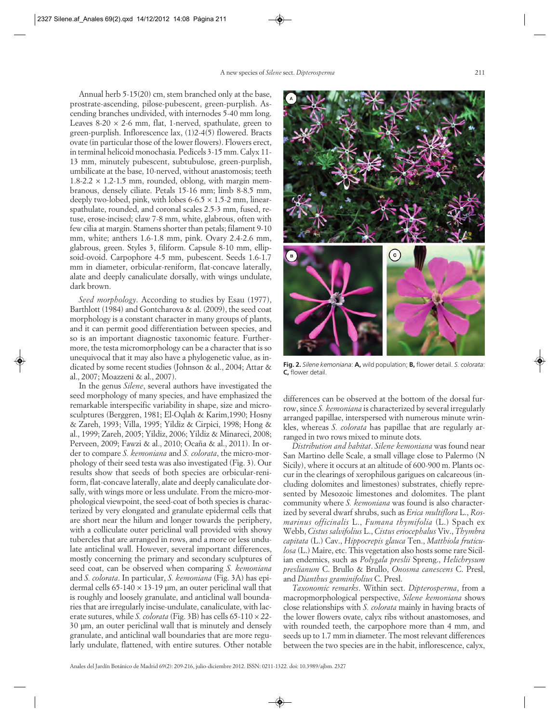Annual herb 5-15(20) cm, stem branched only at the base, prostrate-ascending, pilose-pubescent, green-purplish. Ascending branches undivided, with internodes 5-40 mm long. Leaves 8-20  $\times$  2-6 mm, flat, 1-nerved, spathulate, green to green-purplish. Inflorescence lax, (1)2-4(5) flowered. Bracts ovate (in particular those of the lower flowers). Flowers erect, in terminal helicoid monochasia. Pedicels 3-15 mm. Calyx 11- 13 mm, minutely pubescent, subtubulose, green-purplish, umbilicate at the base, 10-nerved, without anastomosis; teeth  $1.8-2.2 \times 1.2-1.5$  mm, rounded, oblong, with margin membranous, densely ciliate. Petals 15-16 mm; limb 8-8.5 mm, deeply two-lobed, pink, with lobes  $6-6.5 \times 1.5-2$  mm, linearspathulate, rounded, and coronal scales 2.5-3 mm, fused, retuse, erose-incised; claw 7-8 mm, white, glabrous, often with few cilia at margin. Stamens shorter than petals; filament 9-10 mm, white; anthers 1.6-1.8 mm, pink. Ovary 2.4-2.6 mm, glabrous, green. Styles 3, filiform. Capsule 8-10 mm, ellipsoid-ovoid. Carpophore 4-5 mm, pubescent. Seeds 1.6-1.7 mm in diameter, orbicular-reniform, flat-concave laterally, alate and deeply canaliculate dorsally, with wings undulate, dark brown.

*Seed morphology*. According to studies by Esau (1977), Barthlott (1984) and Gontcharova & al. (2009), the seed coat morphology is a constant character in many groups of plants, and it can permit good differentiation between species, and so is an important diagnostic taxonomic feature. Furthermore, the testa micromorphology can be a character that is so unequivocal that it may also have a phylogenetic value, as indicated by some recent studies (Johnson & al., 2004; Attar & al., 2007; Moazzeni & al., 2007).

In the genus *Silene*, several authors have investigated the seed morphology of many species, and have emphasized the remarkable interspecific variability in shape, size and microsculptures (Berggren, 1981; El-Oqlah & Karim,1990; Hosny & Zareh, 1993; Villa, 1995; Yildiz & Cirpici, 1998; Hong & al., 1999; Zareh, 2005; Yildiz, 2006; Yildiz & Minareci, 2008; Perveen, 2009; Fawzi & al., 2010; Ocaña & al., 2011). In order to compare *S. kemoniana* and *S. colorata*, the micro-morphology of their seed testa was also investigated (Fig. 3). Our results show that seeds of both species are orbicular-reniform, flat-concave laterally, alate and deeply canaliculate dorsally, with wings more or less undulate. From the micro-morphological viewpoint, the seed-coat of both species is characterized by very elongated and granulate epidermal cells that are short near the hilum and longer towards the periphery, with a colliculate outer periclinal wall provided with showy tubercles that are arranged in rows, and a more or less undulate anticlinal wall. However, several important differences, mostly concerning the primary and secondary sculptures of seed coat, can be observed when comparing *S. kemoniana* and *S. colorata*. In particular, *S. kemoniana* (Fig. 3A) has epidermal cells  $65-140 \times 13-19$  µm, an outer periclinal wall that is roughly and loosely granulate, and anticlinal wall boundaries that are irregularly incise-undulate, canaliculate, with lacerate sutures, while *S. colorata* (Fig. 3B) has cells 65-110 × 22- 30 µm, an outer periclinal wall that is minutely and densely granulate, and anticlinal wall boundaries that are more regularly undulate, flattened, with entire sutures. Other notable



**Fig. 2.** *Silene kemoniana*: **A**, wild population; **B**, flower detail. *S. colorata*: **C,** flower detail.

differences can be observed at the bottom of the dorsal furrow, since *S. kemoniana* is characterized by several irregularly arranged papillae, interspersed with numerous minute wrinkles, whereas *S. colorata* has papillae that are regularly arranged in two rows mixed to minute dots.

*Distribution and habitat*. *Silene kemoniana* was found near San Martino delle Scale, a small village close to Palermo (N Sicily), where it occurs at an altitude of 600-900 m. Plants occur in the clearings of xerophilous garigues on calcareous (including dolomites and limestones) substrates, chiefly represented by Mesozoic limestones and dolomites. The plant community where *S. kemoniana* was found is also characterized by several dwarf shrubs, such as *Erica multiflora* L., *Rosmarinus officinalis* L., *Fumana thymifolia* (L.) Spach ex Webb, *Cistus salvifolius* L., *Cistus eriocephalus* Viv., *Thymbra capitata* (L.) Cav., *Hippocrepis glauca* Ten., *Matthiola fruticulosa* (L.) Maire, etc. This vegetation also hosts some rare Sicilian endemics, such as *Polygala preslii* Spreng., *Helichrysum preslianum* C. Brullo & Brullo, *Onosma canescens* C. Presl, and *Dianthus graminifolius* C. Presl.

*Taxonomic remarks*. Within sect. *Dipterosperma*, from a macropmorphological perspective, *Silene kemoniana* shows close relationships with *S. colorata* mainly in having bracts of the lower flowers ovate, calyx ribs without anastomoses, and with rounded teeth, the carpophore more than 4 mm, and seeds up to 1.7 mm in diameter. The most relevant differences between the two species are in the habit, inflorescence, calyx,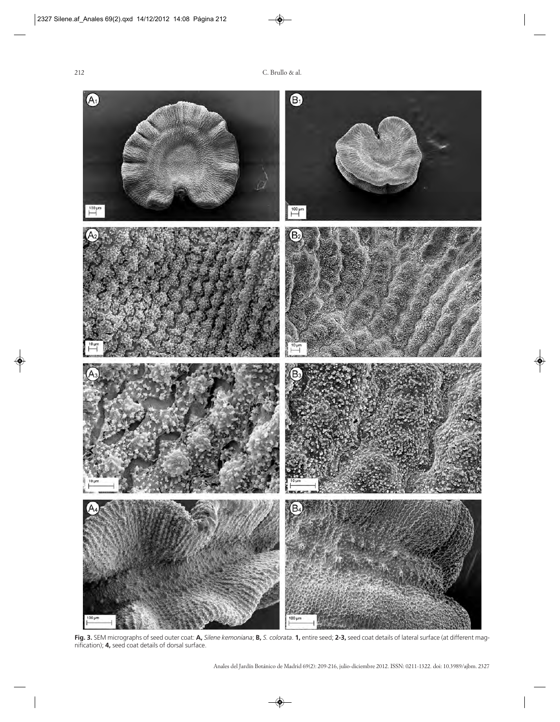

**Fig. 3.** SEM micrographs of seed outer coat: **A,** *Silene kemoniana*; **B,** *S. colorata*. **1,** entire seed; **2-3,** seed coat details of lateral surface (at different magnification); **4,** seed coat details of dorsal surface.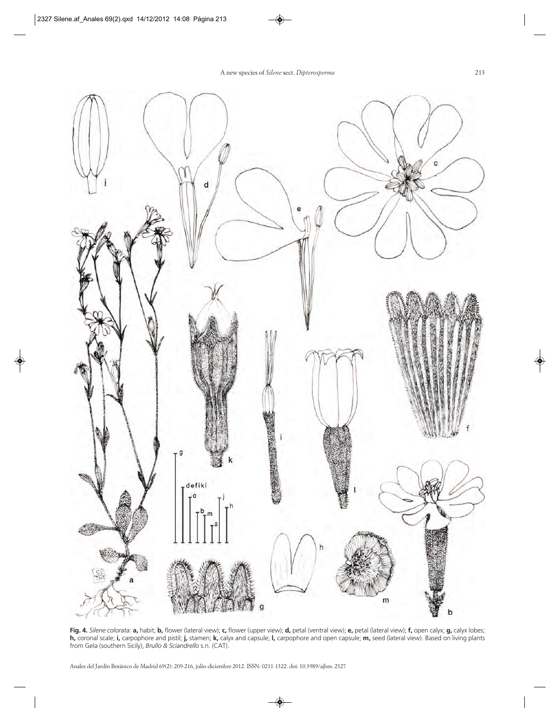

Fig. 4. Silene colorata: a, habit; b, flower (lateral view); c, flower (upper view); d, petal (ventral view); e, petal (lateral view); f, open calyx; g, calyx lobes; **h,** coronal scale; **i,** carpophore and pistil; **j,** stamen; **k,** calyx and capsule; **l,** carpophore and open capsule; **m,** seed (lateral view). Based on living plants from Gela (southern Sicily), *Brullo & Sciandrello* s.n. (CAT).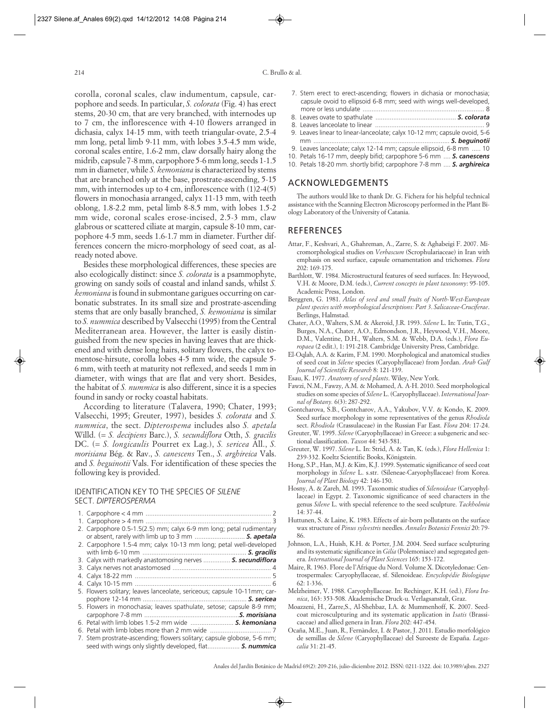corolla, coronal scales, claw indumentum, capsule, carpophore and seeds. In particular, *S. colorata* (Fig. 4) has erect stems, 20-30 cm, that are very branched, with internodes up to 7 cm, the inflorescence with 4-10 flowers arranged in dichasia, calyx 14-15 mm, with teeth triangular-ovate, 2.5-4 mm long, petal limb 9-11 mm, with lobes 3.5-4.5 mm wide, coronal scales entire, 1.6-2 mm, claw dorsally hairy along the midrib, capsule 7-8 mm, carpophore 5-6 mm long, seeds 1-1.5 mm in diameter, while *S. kemoniana* is characterized by stems that are branched only at the base, prostrate-ascending, 5-15 mm, with internodes up to 4 cm, inflorescence with (1)2-4(5) flowers in monochasia arranged, calyx 11-13 mm, with teeth oblong, 1.8-2.2 mm, petal limb 8-8.5 mm, with lobes 1.5-2 mm wide, coronal scales erose-incised, 2.5-3 mm, claw glabrous or scattered ciliate at margin, capsule 8-10 mm, carpophore 4-5 mm, seeds 1.6-1.7 mm in diameter. Further differences concern the micro-morphology of seed coat, as already noted above.

Besides these morphological differences, these species are also ecologically distinct: since *S. colorata* is a psammophyte, growing on sandy soils of coastal and inland sands, whilst *S. kemoniana* is found in submontane garigues occurring on carbonatic substrates. In its small size and prostrate-ascending stems that are only basally branched, *S. kemoniana* is similar to *S. nummica* described by Valsecchi (1995) from the Central Mediterranean area. However, the latter is easily distinguished from the new species in having leaves that are thickened and with dense long hairs, solitary flowers, the calyx tomentose-hirsute, corolla lobes 4-5 mm wide, the capsule 5- 6 mm, with teeth at maturity not reflexed, and seeds 1 mm in diameter, with wings that are flat and very short. Besides, the habitat of *S. nummica* is also different, since it is a species found in sandy or rocky coastal habitats.

According to literature (Talavera, 1990; Chater, 1993; Valsecchi, 1995; Greuter, 1997), besides *S. colorata* and *S. nummica*, the sect. *Dipterospema* includes also *S. apetala* Willd. (= *S. decipiens* Barc.), *S. secundiflora* Otth, *S. gracilis* DC. (= *S. longicaulis* Pourret ex Lag.), *S. sericea* All., *S. morisiana* Bég. & Rav., *S. canescens* Ten., *S. arghireica* Vals. and *S. beguinotii* Vals. For identification of these species the following key is provided.

#### IDENTIFICATION KEY TO THE SPECIES OF *SILENE* SECT. *DIPTEROSPERMA*

| 2. Carpophore 0.5-1.5(2.5) mm; calyx 6-9 mm long; petal rudimentary      |
|--------------------------------------------------------------------------|
| or absent, rarely with limb up to 3 mm  S. apetala                       |
| 2. Carpophore 1.5-4 mm; calyx 10-13 mm long; petal well-developed        |
|                                                                          |
| 3. Calyx with markedly anastomosing nerves  S. secundiflora              |
|                                                                          |
|                                                                          |
|                                                                          |
| 5. Flowers solitary; leaves lanceolate, sericeous; capsule 10-11mm; car- |
|                                                                          |
| 5. Flowers in monochasia; leaves spathulate, setose; capsule 8-9 mm;     |
|                                                                          |
| 6. Petal with limb lobes 1.5-2 mm wide  S. kemoniana                     |
|                                                                          |
| 7. Stem prostrate-ascending; flowers solitary; capsule globose, 5-6 mm;  |
| seed with wings only slightly developed, flat S. nummica                 |

- 7. Stem erect to erect-ascending; flowers in dichasia or monochasia; capsule ovoid to ellipsoid 6-8 mm; seed with wings well-developed, more or less undulate .................................................................... 8
- 8. Leaves ovate to spathulate ............................................. *S. colorata*
- 8. Leaves lanceolate to linear ............................................................. 9
- 9. Leaves linear to linear-lanceolate; calyx 10-12 mm; capsule ovoid, 5-6 mm ............................................................................ *S. beguinotii*
- 9. Leaves lanceolate; calyx 12-14 mm; capsule ellipsoid, 6-8 mm ..... 10
- 10. Petals 16-17 mm, deeply bifid; carpophore 5-6 mm .... *S. canescens*
- 10. Petals 18-20 mm. shortly bifid; carpophore 7-8 mm .... *S. arghireica*

# ACKNOWLEDGEMENTS

The authors would like to thank Dr. G. Fichera for his helpful technical assistance with the Scanning Electron Microscopy performed in the Plant Biology Laboratory of the University of Catania.

### **REFERENCES**

- Attar, F., Keshvari, A., Ghahreman, A., Zarre, S. & Aghabeigi F. 2007. Micromorphological studies on *Verbascum* (Scrophulariaceae) in Iran with emphasis on seed surface, capsule ornamentation and trichomes. *Flora* 202: 169-175.
- Barthlott, W. 1984. Microstructural features of seed surfaces. In: Heywood, V.H. & Moore, D.M. (eds.), *Current concepts in plant taxonomy*: 95-105. Academic Press, London.
- Berggren, G. 1981. *Atlas of seed and small fruits of North-West-European plant species with morphological descriptions: Part 3*. *Salicaceae-Cruciferae*. Berlings, Halmstad.
- Chater, A.O., Walters, S.M. & Akeroid, J.R. 1993. *Silene* L. In: Tutin, T.G., Burges, N.A., Chater, A.O., Edmondson, J.R., Heywood, V.H., Moore, D.M., Valentine, D.H., Walters, S.M. & Webb, D.A. (eds.), *Flora Europaea* (2 edit.), 1: 191-218. Cambridge University Press, Cambridge.
- El-Oqlah, A.A. & Karim, F.M. 1990. Morphological and anatomical studies of seed coat in *Silene* species (Caryophyllaceae) from Jordan. *Arab Gulf Journal of Scientific Research* 8: 121-139.
- Esau, K. 1977. *Anatomy of seed plants*. Wiley, New York.
- Fawzi, N.M., Fawzy, A.M. & Mohamed, A. A-H. 2010. Seed morphological studies on some species of *Silene* L. (Caryophyllaceae). *International Journal of Botany.* 6(3): 287-292.
- Gontcharova, S.B., Gontcharov, A.A., Yakubov, V.V. & Kondo, K. 2009. Seed surface morphology in some representatives of the genus *Rhodiola* sect. *Rhodiola* (Crassulaceae) in the Russian Far East. *Flora* 204: 17-24.
- Greuter, W. 1995. *Silene* (Caryophyllaceae) in Greece: a subgeneric and sectional classification. *Taxon* 44: 543-581.
- Greuter, W. 1997. *Silene* L. In: Strid, A. & Tan, K. (eds.), *Flora Hellenica* 1: 239-332. Koeltz Scientific Books, Königstein.
- Hong, S.P., Han, M.J. & Kim, K.J. 1999. Systematic significance of seed coat morphology in *Silene* L. s.str. (Sileneae-Caryophyllaceae) from Korea. *Journal of Plant Biology* 42: 146-150.
- Hosny, A. & Zareh, M. 1993. Taxonomic studies of *Silenoideae* (Caryophyllaceae) in Egypt. 2. Taxonomic significance of seed characters in the genus *Silene* L. with special reference to the seed sculpture. *Tackholmia* 14: 37-44.
- Huttunen, S. & Laine, K. 1983. Effects of air-born pollutants on the surface wax structure of *Pinus sylvestris* needles. *Annales Botanici Fennici* 20: 79- 86.
- Johnson, L.A., Huish, K.H. & Porter, J.M. 2004. Seed surface sculpturing and its systematic significance in *Gilia* (Polemoniace) and segregated genera. *International Journal of Plant Sciences* 165: 153-172.
- Maire, R. 1963. Flore de l'Afrique du Nord. Volume X. Dicotyledonae: Centrospermales: Caryophyllaceae, sf. Silenoideae. *Encyclopédie Biologique*  $62.1 - 336$
- Melzheimer, V. 1988. Caryophyllaceae. In: Rechinger, K.H. (ed.), *Flora Iranica*, 163: 353-508. Akademische Druck-u. Verlagsanstalt, Graz.
- Moazzeni, H., Zarre,S., Al-Shehbaz, I.A. & Mummenhoff, K. 2007. Seedcoat microsculpturing and its systematic application in *Isatis* (Brassicaceae) and allied genera in Iran. *Flora* 202: 447-454.
- Ocaña, M.E., Juan, R., Fernàndez, I. & Pastor, J. 2011. Estudio morfológico de semillas de *Silene* (Caryophyllaceae) del Suroeste de España. *Lagascalia* 31: 21-45.